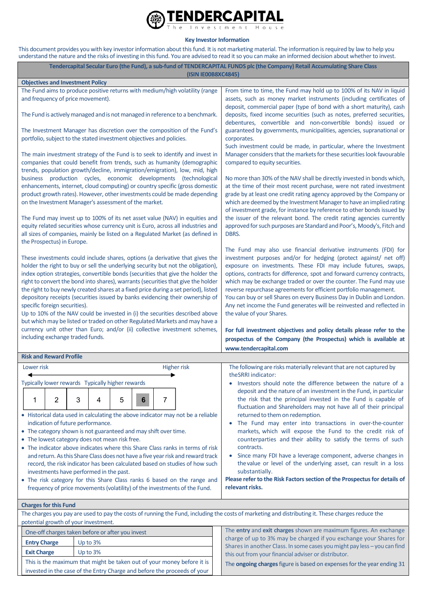

## **Key Investor Information**

This document provides you with key investor information about this fund. It is not marketing material. The information is required by law to help you understand the nature and the risks of investing in this fund. You are advised to read it so you can make an informed decision about whether to invest.

|                                                                                                                                                                                                                                                                                                                                                                                                                                                                                                                                                                                                                                                                                                                                                                                               |          |        | (ISIN IE00B8XC4845)                                                          | Tendercapital Secular Euro (the Fund), a sub-fund of TENDERCAPITAL FUNDS plc (the Company) Retail Accumulating Share Class                                                                                                                                                                                                                                                                                                                                                                                                                                                                                                                                                                                                                                                                                                                                                                                                                                                                                                                                                                                                                                                                                                                                                                                                                                                                                          |  |  |
|-----------------------------------------------------------------------------------------------------------------------------------------------------------------------------------------------------------------------------------------------------------------------------------------------------------------------------------------------------------------------------------------------------------------------------------------------------------------------------------------------------------------------------------------------------------------------------------------------------------------------------------------------------------------------------------------------------------------------------------------------------------------------------------------------|----------|--------|------------------------------------------------------------------------------|---------------------------------------------------------------------------------------------------------------------------------------------------------------------------------------------------------------------------------------------------------------------------------------------------------------------------------------------------------------------------------------------------------------------------------------------------------------------------------------------------------------------------------------------------------------------------------------------------------------------------------------------------------------------------------------------------------------------------------------------------------------------------------------------------------------------------------------------------------------------------------------------------------------------------------------------------------------------------------------------------------------------------------------------------------------------------------------------------------------------------------------------------------------------------------------------------------------------------------------------------------------------------------------------------------------------------------------------------------------------------------------------------------------------|--|--|
| <b>Objectives and Investment Policy</b>                                                                                                                                                                                                                                                                                                                                                                                                                                                                                                                                                                                                                                                                                                                                                       |          |        |                                                                              |                                                                                                                                                                                                                                                                                                                                                                                                                                                                                                                                                                                                                                                                                                                                                                                                                                                                                                                                                                                                                                                                                                                                                                                                                                                                                                                                                                                                                     |  |  |
| and frequency of price movement).                                                                                                                                                                                                                                                                                                                                                                                                                                                                                                                                                                                                                                                                                                                                                             |          |        | The Fund aims to produce positive returns with medium/high volatility (range | From time to time, the Fund may hold up to 100% of its NAV in liquid<br>assets, such as money market instruments (including certificates of<br>deposit, commercial paper (type of bond with a short maturity), cash<br>deposits, fixed income securities (such as notes, preferred securities,<br>debentures, convertible and non-convertible bonds) issued or<br>guaranteed by governments, municipalities, agencies, supranational or<br>corporates.                                                                                                                                                                                                                                                                                                                                                                                                                                                                                                                                                                                                                                                                                                                                                                                                                                                                                                                                                              |  |  |
|                                                                                                                                                                                                                                                                                                                                                                                                                                                                                                                                                                                                                                                                                                                                                                                               |          |        | The Fund is actively managed and is not managed in reference to a benchmark. |                                                                                                                                                                                                                                                                                                                                                                                                                                                                                                                                                                                                                                                                                                                                                                                                                                                                                                                                                                                                                                                                                                                                                                                                                                                                                                                                                                                                                     |  |  |
| portfolio, subject to the stated investment objectives and policies.                                                                                                                                                                                                                                                                                                                                                                                                                                                                                                                                                                                                                                                                                                                          |          |        | The Investment Manager has discretion over the composition of the Fund's     |                                                                                                                                                                                                                                                                                                                                                                                                                                                                                                                                                                                                                                                                                                                                                                                                                                                                                                                                                                                                                                                                                                                                                                                                                                                                                                                                                                                                                     |  |  |
| The main investment strategy of the Fund is to seek to identify and invest in<br>companies that could benefit from trends, such as humanity (demographic<br>trends, population growth/decline, immigration/emigration), low, mid, high<br>business production cycles, economic developments (technological<br>enhancements, internet, cloud computing) or country specific (gross domestic<br>product growth rates). However, other investments could be made depending<br>on the Investment Manager's assessment of the market.                                                                                                                                                                                                                                                              |          |        |                                                                              | Such investment could be made, in particular, where the Investment<br>Manager considers that the markets for these securities look favourable<br>compared to equity securities.<br>No more than 30% of the NAV shall be directly invested in bonds which,<br>at the time of their most recent purchase, were not rated investment<br>grade by at least one credit rating agency approved by the Company or<br>which are deemed by the Investment Manager to have an implied rating<br>of investment grade, for instance by reference to other bonds issued by<br>the issuer of the relevant bond. The credit rating agencies currently<br>approved for such purposes are Standard and Poor's, Moody's, Fitch and<br>DBRS.<br>The Fund may also use financial derivative instruments (FDI) for<br>investment purposes and/or for hedging (protect against/ net off)<br>exposure on investments. These FDI may include futures, swaps,<br>options, contracts for difference, spot and forward currency contracts,<br>which may be exchange traded or over the counter. The Fund may use<br>reverse repurchase agreements for efficient portfolio management.<br>You can buy or sell Shares on every Business Day in Dublin and London.<br>Any net income the Fund generates will be reinvested and reflected in<br>the value of your Shares.<br>For full investment objectives and policy details please refer to the |  |  |
| The Fund may invest up to 100% of its net asset value (NAV) in equities and<br>equity related securities whose currency unit is Euro, across all industries and<br>all sizes of companies, mainly be listed on a Regulated Market (as defined in<br>the Prospectus) in Europe.                                                                                                                                                                                                                                                                                                                                                                                                                                                                                                                |          |        |                                                                              |                                                                                                                                                                                                                                                                                                                                                                                                                                                                                                                                                                                                                                                                                                                                                                                                                                                                                                                                                                                                                                                                                                                                                                                                                                                                                                                                                                                                                     |  |  |
| These investments could include shares, options (a derivative that gives the<br>holder the right to buy or sell the underlying security but not the obligation),<br>index option strategies, convertible bonds (securities that give the holder the<br>right to convert the bond into shares), warrants (securities that give the holder<br>the right to buy newly created shares at a fixed price during a set period), listed<br>depository receipts (securities issued by banks evidencing their ownership of<br>specific foreign securities).<br>Up to 10% of the NAV could be invested in (i) the securities described above<br>but which may be listed or traded on other Regulated Markets and may have a<br>currency unit other than Euro; and/or (ii) collective investment schemes, |          |        |                                                                              |                                                                                                                                                                                                                                                                                                                                                                                                                                                                                                                                                                                                                                                                                                                                                                                                                                                                                                                                                                                                                                                                                                                                                                                                                                                                                                                                                                                                                     |  |  |
| including exchange traded funds.                                                                                                                                                                                                                                                                                                                                                                                                                                                                                                                                                                                                                                                                                                                                                              |          |        |                                                                              | prospectus of the Company (the Prospectus) which is available at<br>www.tendercapital.com                                                                                                                                                                                                                                                                                                                                                                                                                                                                                                                                                                                                                                                                                                                                                                                                                                                                                                                                                                                                                                                                                                                                                                                                                                                                                                                           |  |  |
|                                                                                                                                                                                                                                                                                                                                                                                                                                                                                                                                                                                                                                                                                                                                                                                               |          |        |                                                                              |                                                                                                                                                                                                                                                                                                                                                                                                                                                                                                                                                                                                                                                                                                                                                                                                                                                                                                                                                                                                                                                                                                                                                                                                                                                                                                                                                                                                                     |  |  |
| <b>Risk and Reward Profile</b>                                                                                                                                                                                                                                                                                                                                                                                                                                                                                                                                                                                                                                                                                                                                                                |          |        |                                                                              |                                                                                                                                                                                                                                                                                                                                                                                                                                                                                                                                                                                                                                                                                                                                                                                                                                                                                                                                                                                                                                                                                                                                                                                                                                                                                                                                                                                                                     |  |  |
| Lower risk                                                                                                                                                                                                                                                                                                                                                                                                                                                                                                                                                                                                                                                                                                                                                                                    |          |        | <b>Higher risk</b>                                                           | The following are risks materially relevant that are not captured by<br>theSRRI indicator:                                                                                                                                                                                                                                                                                                                                                                                                                                                                                                                                                                                                                                                                                                                                                                                                                                                                                                                                                                                                                                                                                                                                                                                                                                                                                                                          |  |  |
| Typically lower rewards Typically higher rewards                                                                                                                                                                                                                                                                                                                                                                                                                                                                                                                                                                                                                                                                                                                                              |          |        |                                                                              | Investors should note the difference between the nature of a                                                                                                                                                                                                                                                                                                                                                                                                                                                                                                                                                                                                                                                                                                                                                                                                                                                                                                                                                                                                                                                                                                                                                                                                                                                                                                                                                        |  |  |
| 2<br>1                                                                                                                                                                                                                                                                                                                                                                                                                                                                                                                                                                                                                                                                                                                                                                                        | 3<br>4   | 5<br>6 | 7                                                                            | deposit and the nature of an investment in the Fund, in particular<br>the risk that the principal invested in the Fund is capable of<br>fluctuation and Shareholders may not have all of their principal                                                                                                                                                                                                                                                                                                                                                                                                                                                                                                                                                                                                                                                                                                                                                                                                                                                                                                                                                                                                                                                                                                                                                                                                            |  |  |
| • Historical data used in calculating the above indicator may not be a reliable<br>indication of future performance.<br>• The category shown is not guaranteed and may shift over time.<br>• The lowest category does not mean risk free.<br>• The indicator above indicates where this Share Class ranks in terms of risk<br>and return. As this Share Class does not have a five year risk and reward track<br>record, the risk indicator has been calculated based on studies of how such<br>investments have performed in the past.<br>• The risk category for this Share Class ranks 6 based on the range and<br>frequency of price movements (volatility) of the investments of the Fund.                                                                                               |          |        |                                                                              | returned to them on redemption.<br>• The Fund may enter into transactions in over-the-counter<br>markets, which will expose the Fund to the credit risk of<br>counterparties and their ability to satisfy the terms of such<br>contracts.<br>Since many FDI have a leverage component, adverse changes in<br>the value or level of the underlying asset, can result in a loss<br>substantially.<br>Please refer to the Risk Factors section of the Prospectus for details of<br>relevant risks.                                                                                                                                                                                                                                                                                                                                                                                                                                                                                                                                                                                                                                                                                                                                                                                                                                                                                                                     |  |  |
|                                                                                                                                                                                                                                                                                                                                                                                                                                                                                                                                                                                                                                                                                                                                                                                               |          |        |                                                                              |                                                                                                                                                                                                                                                                                                                                                                                                                                                                                                                                                                                                                                                                                                                                                                                                                                                                                                                                                                                                                                                                                                                                                                                                                                                                                                                                                                                                                     |  |  |
| <b>Charges for this Fund</b>                                                                                                                                                                                                                                                                                                                                                                                                                                                                                                                                                                                                                                                                                                                                                                  |          |        |                                                                              | The charges you pay are used to pay the costs of running the Fund, including the costs of marketing and distributing it. These charges reduce the                                                                                                                                                                                                                                                                                                                                                                                                                                                                                                                                                                                                                                                                                                                                                                                                                                                                                                                                                                                                                                                                                                                                                                                                                                                                   |  |  |
| potential growth of your investment.                                                                                                                                                                                                                                                                                                                                                                                                                                                                                                                                                                                                                                                                                                                                                          |          |        |                                                                              |                                                                                                                                                                                                                                                                                                                                                                                                                                                                                                                                                                                                                                                                                                                                                                                                                                                                                                                                                                                                                                                                                                                                                                                                                                                                                                                                                                                                                     |  |  |
| One-off charges taken before or after you invest                                                                                                                                                                                                                                                                                                                                                                                                                                                                                                                                                                                                                                                                                                                                              |          |        |                                                                              | The entry and exit charges shown are maximum figures. An exchange                                                                                                                                                                                                                                                                                                                                                                                                                                                                                                                                                                                                                                                                                                                                                                                                                                                                                                                                                                                                                                                                                                                                                                                                                                                                                                                                                   |  |  |
| <b>Entry Charge</b><br>Up to 3%                                                                                                                                                                                                                                                                                                                                                                                                                                                                                                                                                                                                                                                                                                                                                               |          |        |                                                                              | charge of up to 3% may be charged if you exchange your Shares for                                                                                                                                                                                                                                                                                                                                                                                                                                                                                                                                                                                                                                                                                                                                                                                                                                                                                                                                                                                                                                                                                                                                                                                                                                                                                                                                                   |  |  |
| <b>Exit Charge</b>                                                                                                                                                                                                                                                                                                                                                                                                                                                                                                                                                                                                                                                                                                                                                                            | Up to 3% |        |                                                                              | Shares in another Class. In some cases you might pay less - you can find<br>this out from your financial adviser or distributor.                                                                                                                                                                                                                                                                                                                                                                                                                                                                                                                                                                                                                                                                                                                                                                                                                                                                                                                                                                                                                                                                                                                                                                                                                                                                                    |  |  |
| This is the maximum that might be taken out of your money before it is                                                                                                                                                                                                                                                                                                                                                                                                                                                                                                                                                                                                                                                                                                                        |          |        |                                                                              | The <b>ongoing charges</b> figure is based on expenses for the year ending 31                                                                                                                                                                                                                                                                                                                                                                                                                                                                                                                                                                                                                                                                                                                                                                                                                                                                                                                                                                                                                                                                                                                                                                                                                                                                                                                                       |  |  |

invested in the case of the Entry Charge and before the proceeds of your The **ongoing charges** figure is based on expenses for the year ending 31